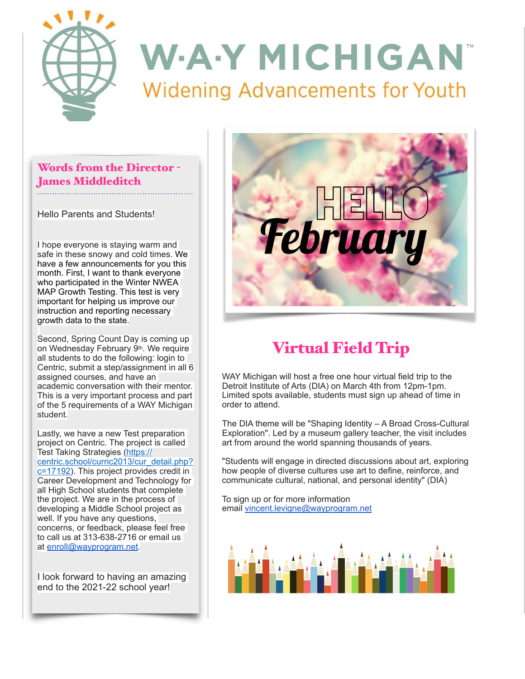

### Words from the Director - James Middleditch

Hello Parents and Students!

I hope everyone is staying warm and safe in these snowy and cold times. We have a few announcements for you this month. First, I want to thank everyone who participated in the Winter NWEA MAP Growth Testing. This test is very important for helping us improve our instruction and reporting necessary growth data to the state.

Second, Spring Count Day is coming up on Wednesday February 9th. We require all students to do the following: login to Centric, submit a step/assignment in all 6 assigned courses, and have an academic conversation with their mentor. This is a very important process and part of the 5 requirements of a WAY Michigan student.

Lastly, we have a new Test preparation project on Centric. The project is called Test Taking Strategies [\(https://](https://centric.school/curric2013/cur_detail.php?c=17192) [centric.school/curric2013/cur\\_detail.php?](https://centric.school/curric2013/cur_detail.php?c=17192) [c=17192](https://centric.school/curric2013/cur_detail.php?c=17192)). This project provides credit in Career Development and Technology for all High School students that complete the project. We are in the process of developing a Middle School project as well. If you have any questions, concerns, or feedback, please feel free to call us at 313-638-2716 or email us at [enroll@wayprogram.net](mailto:enroll@wayprogram.net).

I look forward to having an amazing end to the 2021-22 school year!



# Virtual Field Trip

WAY Michigan will host a free one hour virtual field trip to the Detroit Institute of Arts (DIA) on March 4th from 12pm-1pm. Limited spots available, students must sign up ahead of time in order to attend.

The DIA theme will be "Shaping Identity – A Broad Cross-Cultural Exploration". Led by a museum gallery teacher, the visit includes art from around the world spanning thousands of years.

"Students will engage in directed discussions about art, exploring how people of diverse cultures use art to define, reinforce, and communicate cultural, national, and personal identity" (DIA)

To sign up or for more information email [vincent.levigne@wayprogram.net](mailto:vincent.levigne@wayprogram.net)